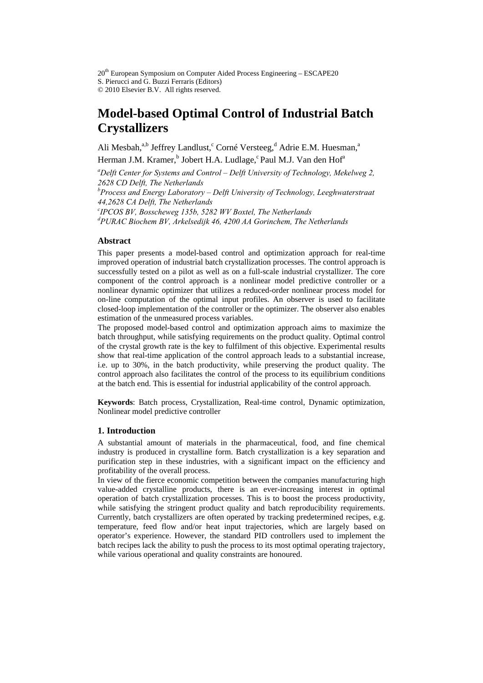$20<sup>th</sup>$  European Symposium on Computer Aided Process Engineering – ESCAPE20 S. Pierucci and G. Buzzi Ferraris (Editors) © 2010 Elsevier B.V. All rights reserved.

# **Model-based Optimal Control of Industrial Batch Crystallizers**

Ali Mesbah,<sup>a,b</sup> Jeffrey Landlust,<sup>c</sup> Corné Versteeg,<sup>d</sup> Adrie E.M. Huesman,<sup>a</sup>

Herman J.M. Kramer,<sup>b</sup> Jobert H.A. Ludlage,<sup>c</sup> Paul M.J. Van den Hof<sup>a</sup>

*a Delft Center for Systems and Control – Delft University of Technology, Mekelweg 2, 2628 CD Delft, The Netherlands b Process and Energy Laboratory – Delft University of Technology, Leeghwaterstraat 44,2628 CA Delft, The Netherlands c IPCOS BV, Bosscheweg 135b, 5282 WV Boxtel, The Netherlands* 

*d PURAC Biochem BV, Arkelsedijk 46, 4200 AA Gorinchem, The Netherlands* 

# **Abstract**

This paper presents a model-based control and optimization approach for real-time improved operation of industrial batch crystallization processes. The control approach is successfully tested on a pilot as well as on a full-scale industrial crystallizer. The core component of the control approach is a nonlinear model predictive controller or a nonlinear dynamic optimizer that utilizes a reduced-order nonlinear process model for on-line computation of the optimal input profiles. An observer is used to facilitate closed-loop implementation of the controller or the optimizer. The observer also enables estimation of the unmeasured process variables.

The proposed model-based control and optimization approach aims to maximize the batch throughput, while satisfying requirements on the product quality. Optimal control of the crystal growth rate is the key to fulfilment of this objective. Experimental results show that real-time application of the control approach leads to a substantial increase, i.e. up to 30%, in the batch productivity, while preserving the product quality. The control approach also facilitates the control of the process to its equilibrium conditions at the batch end. This is essential for industrial applicability of the control approach.

**Keywords**: Batch process, Crystallization, Real-time control, Dynamic optimization, Nonlinear model predictive controller

# **1. Introduction**

A substantial amount of materials in the pharmaceutical, food, and fine chemical industry is produced in crystalline form. Batch crystallization is a key separation and purification step in these industries, with a significant impact on the efficiency and profitability of the overall process.

In view of the fierce economic competition between the companies manufacturing high value-added crystalline products, there is an ever-increasing interest in optimal operation of batch crystallization processes. This is to boost the process productivity, while satisfying the stringent product quality and batch reproducibility requirements. Currently, batch crystallizers are often operated by tracking predetermined recipes, e.g. temperature, feed flow and/or heat input trajectories, which are largely based on operator's experience. However, the standard PID controllers used to implement the batch recipes lack the ability to push the process to its most optimal operating trajectory, while various operational and quality constraints are honoured.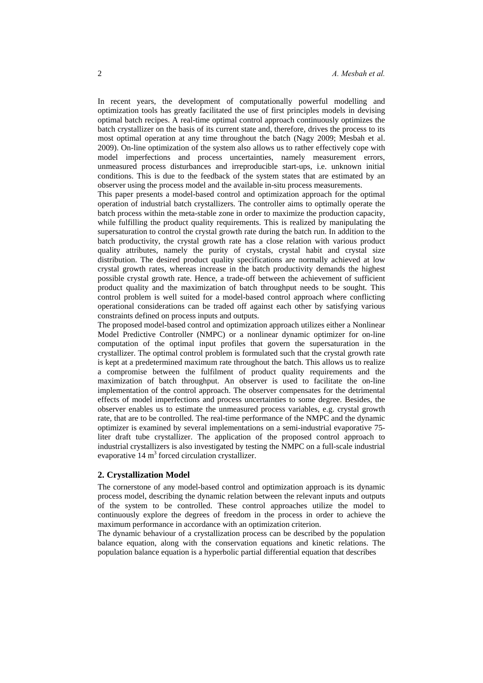In recent years, the development of computationally powerful modelling and optimization tools has greatly facilitated the use of first principles models in devising optimal batch recipes. A real-time optimal control approach continuously optimizes the batch crystallizer on the basis of its current state and, therefore, drives the process to its most optimal operation at any time throughout the batch (Nagy 2009; Mesbah et al. 2009). On-line optimization of the system also allows us to rather effectively cope with model imperfections and process uncertainties, namely measurement errors, unmeasured process disturbances and irreproducible start-ups, i.e. unknown initial conditions. This is due to the feedback of the system states that are estimated by an observer using the process model and the available in-situ process measurements.

This paper presents a model-based control and optimization approach for the optimal operation of industrial batch crystallizers. The controller aims to optimally operate the batch process within the meta-stable zone in order to maximize the production capacity, while fulfilling the product quality requirements. This is realized by manipulating the supersaturation to control the crystal growth rate during the batch run. In addition to the batch productivity, the crystal growth rate has a close relation with various product quality attributes, namely the purity of crystals, crystal habit and crystal size distribution. The desired product quality specifications are normally achieved at low crystal growth rates, whereas increase in the batch productivity demands the highest possible crystal growth rate. Hence, a trade-off between the achievement of sufficient product quality and the maximization of batch throughput needs to be sought. This control problem is well suited for a model-based control approach where conflicting operational considerations can be traded off against each other by satisfying various constraints defined on process inputs and outputs.

The proposed model-based control and optimization approach utilizes either a Nonlinear Model Predictive Controller (NMPC) or a nonlinear dynamic optimizer for on-line computation of the optimal input profiles that govern the supersaturation in the crystallizer. The optimal control problem is formulated such that the crystal growth rate is kept at a predetermined maximum rate throughout the batch. This allows us to realize a compromise between the fulfilment of product quality requirements and the maximization of batch throughput. An observer is used to facilitate the on-line implementation of the control approach. The observer compensates for the detrimental effects of model imperfections and process uncertainties to some degree. Besides, the observer enables us to estimate the unmeasured process variables, e.g. crystal growth rate, that are to be controlled. The real-time performance of the NMPC and the dynamic optimizer is examined by several implementations on a semi-industrial evaporative 75 liter draft tube crystallizer. The application of the proposed control approach to industrial crystallizers is also investigated by testing the NMPC on a full-scale industrial evaporative  $14 \text{ m}^3$  forced circulation crystallizer.

## **2. Crystallization Model**

The cornerstone of any model-based control and optimization approach is its dynamic process model, describing the dynamic relation between the relevant inputs and outputs of the system to be controlled. These control approaches utilize the model to continuously explore the degrees of freedom in the process in order to achieve the maximum performance in accordance with an optimization criterion.

The dynamic behaviour of a crystallization process can be described by the population balance equation, along with the conservation equations and kinetic relations. The population balance equation is a hyperbolic partial differential equation that describes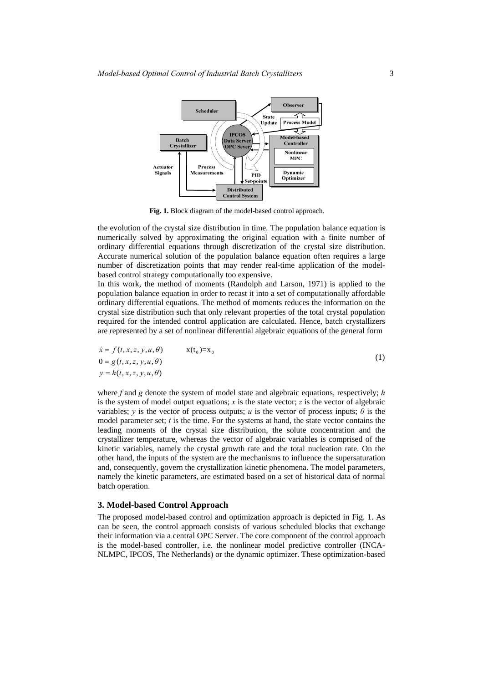

**Fig. 1.** Block diagram of the model-based control approach.

the evolution of the crystal size distribution in time. The population balance equation is numerically solved by approximating the original equation with a finite number of ordinary differential equations through discretization of the crystal size distribution. Accurate numerical solution of the population balance equation often requires a large number of discretization points that may render real-time application of the modelbased control strategy computationally too expensive.

In this work, the method of moments (Randolph and Larson, 1971) is applied to the population balance equation in order to recast it into a set of computationally affordable ordinary differential equations. The method of moments reduces the information on the crystal size distribution such that only relevant properties of the total crystal population required for the intended control application are calculated. Hence, batch crystallizers are represented by a set of nonlinear differential algebraic equations of the general form

$$
\dot{x} = f(t, x, z, y, u, \theta) \qquad x(t_0) = x_0
$$
  
\n
$$
0 = g(t, x, z, y, u, \theta)
$$
  
\n
$$
y = h(t, x, z, y, u, \theta)
$$
\n(1)

where *f* and *g* denote the system of model state and algebraic equations, respectively; *h* is the system of model output equations;  $x$  is the state vector;  $z$  is the vector of algebraic variables; *y* is the vector of process outputs; *u* is the vector of process inputs;  $\theta$  is the model parameter set; *t* is the time. For the systems at hand, the state vector contains the leading moments of the crystal size distribution, the solute concentration and the crystallizer temperature, whereas the vector of algebraic variables is comprised of the kinetic variables, namely the crystal growth rate and the total nucleation rate. On the other hand, the inputs of the system are the mechanisms to influence the supersaturation and, consequently, govern the crystallization kinetic phenomena. The model parameters, namely the kinetic parameters, are estimated based on a set of historical data of normal batch operation.

#### **3. Model-based Control Approach**

The proposed model-based control and optimization approach is depicted in Fig. 1. As can be seen, the control approach consists of various scheduled blocks that exchange their information via a central OPC Server. The core component of the control approach is the model-based controller, i.e. the nonlinear model predictive controller (INCA-NLMPC, IPCOS, The Netherlands) or the dynamic optimizer. These optimization-based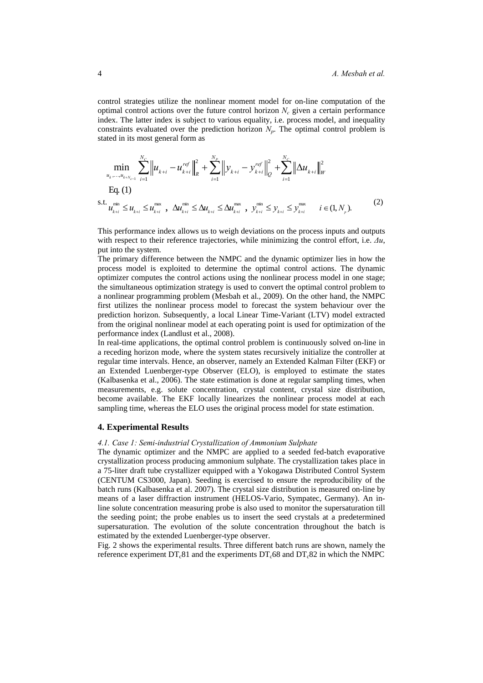control strategies utilize the nonlinear moment model for on-line computation of the optimal control actions over the future control horizon  $N_c$  given a certain performance index. The latter index is subject to various equality, i.e. process model, and inequality constraints evaluated over the prediction horizon  $N_p$ . The optimal control problem is stated in its most general form as

$$
\min_{u_{k},...,u_{k+N_{c-1}}} \sum_{i=1}^{N_{c}} \left\| u_{k+i} - u_{k+i}^{ref} \right\|_{R}^{2} + \sum_{i=1}^{N_{p}} \left\| y_{k+i} - y_{k+i}^{ref} \right\|_{Q}^{2} + \sum_{i=1}^{N_{c}} \left\| \Delta u_{k+i} \right\|_{W}^{2}
$$
\nEq. (1)

\ns.t.

\n
$$
u_{k+i}^{\min} \leq u_{k+i} \leq u_{k+i}^{\max}, \quad \Delta u_{k+i}^{\min} \leq \Delta u_{k+i} \leq \Delta u_{k+i}^{\max}, \quad y_{k+i}^{\min} \leq y_{k+i} \leq y_{k+i}^{\max} \quad i \in (1, N_{p}).
$$
\n(2)

This performance index allows us to weigh deviations on the process inputs and outputs with respect to their reference trajectories, while minimizing the control effort, i.e. *Δu*, put into the system.

The primary difference between the NMPC and the dynamic optimizer lies in how the process model is exploited to determine the optimal control actions. The dynamic optimizer computes the control actions using the nonlinear process model in one stage; the simultaneous optimization strategy is used to convert the optimal control problem to a nonlinear programming problem (Mesbah et al., 2009). On the other hand, the NMPC first utilizes the nonlinear process model to forecast the system behaviour over the prediction horizon. Subsequently, a local Linear Time-Variant (LTV) model extracted from the original nonlinear model at each operating point is used for optimization of the performance index (Landlust et al., 2008).

In real-time applications, the optimal control problem is continuously solved on-line in a receding horizon mode, where the system states recursively initialize the controller at regular time intervals. Hence, an observer, namely an Extended Kalman Filter (EKF) or an Extended Luenberger-type Observer (ELO), is employed to estimate the states (Kalbasenka et al., 2006). The state estimation is done at regular sampling times, when measurements, e.g. solute concentration, crystal content, crystal size distribution, become available. The EKF locally linearizes the nonlinear process model at each sampling time, whereas the ELO uses the original process model for state estimation.

#### **4. Experimental Results**

## *4.1. Case 1: Semi-industrial Crystallization of Ammonium Sulphate*

The dynamic optimizer and the NMPC are applied to a seeded fed-batch evaporative crystallization process producing ammonium sulphate. The crystallization takes place in a 75-liter draft tube crystallizer equipped with a Yokogawa Distributed Control System (CENTUM CS3000, Japan). Seeding is exercised to ensure the reproducibility of the batch runs (Kalbasenka et al. 2007). The crystal size distribution is measured on-line by means of a laser diffraction instrument (HELOS-Vario, Sympatec, Germany). An inline solute concentration measuring probe is also used to monitor the supersaturation till the seeding point; the probe enables us to insert the seed crystals at a predetermined supersaturation. The evolution of the solute concentration throughout the batch is estimated by the extended Luenberger-type observer.

Fig. 2 shows the experimental results. Three different batch runs are shown, namely the reference experiment DT.81 and the experiments  $DT_c68$  and  $DT_c82$  in which the NMPC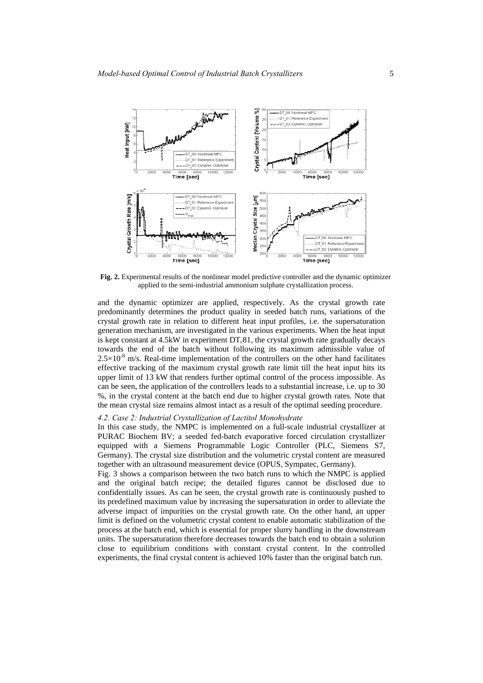

**Fig. 2.** Experimental results of the nonlinear model predictive controller and the dynamic optimizer applied to the semi-industrial ammonium sulphate crystallization process.

and the dynamic optimizer are applied, respectively. As the crystal growth rate predominantly determines the product quality in seeded batch runs, variations of the crystal growth rate in relation to different heat input profiles, i.e. the supersaturation generation mechanism, are investigated in the various experiments. When the heat input is kept constant at  $4.5kW$  in experiment  $DT<sub>c</sub>81$ , the crystal growth rate gradually decays towards the end of the batch without following its maximum admissible value of  $2.5 \times 10^{-8}$  m/s. Real-time implementation of the controllers on the other hand facilitates effective tracking of the maximum crystal growth rate limit till the heat input hits its upper limit of 13 kW that renders further optimal control of the process impossible. As can be seen, the application of the controllers leads to a substantial increase, i.e. up to 30 %, in the crystal content at the batch end due to higher crystal growth rates. Note that the mean crystal size remains almost intact as a result of the optimal seeding procedure.

## *4.2. Case 2: Industrial Crystallization of Lactitol Monohydrate*

In this case study, the NMPC is implemented on a full-scale industrial crystallizer at PURAC Biochem BV; a seeded fed-batch evaporative forced circulation crystallizer equipped with a Siemens Programmable Logic Controller (PLC, Siemens S7, Germany). The crystal size distribution and the volumetric crystal content are measured together with an ultrasound measurement device (OPUS, Sympatec, Germany).

Fig. 3 shows a comparison between the two batch runs to which the NMPC is applied and the original batch recipe; the detailed figures cannot be disclosed due to confidentially issues. As can be seen, the crystal growth rate is continuously pushed to its predefined maximum value by increasing the supersaturation in order to alleviate the adverse impact of impurities on the crystal growth rate. On the other hand, an upper limit is defined on the volumetric crystal content to enable automatic stabilization of the process at the batch end, which is essential for proper slurry handling in the downstream units. The supersaturation therefore decreases towards the batch end to obtain a solution close to equilibrium conditions with constant crystal content. In the controlled experiments, the final crystal content is achieved 10% faster than the original batch run.